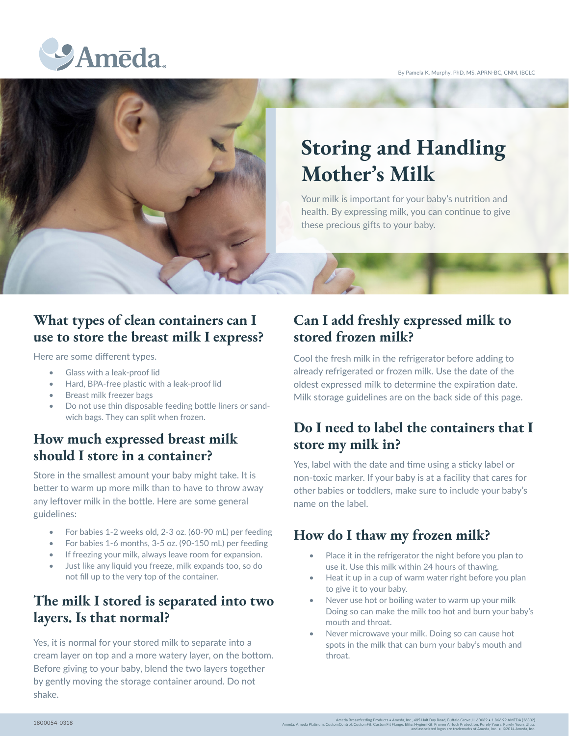By Pamela K. Murphy, PhD, MS, APRN-BC, CNM, IBCLC





# **Storing and Handling Mother's Milk**

Your milk is important for your baby's nutrition and health. By expressing milk, you can continue to give these precious gifts to your baby.

## **What types of clean containers can I use to store the breast milk I express?**

Here are some different types.

- Glass with a leak-proof lid
- Hard, BPA-free plastic with a leak-proof lid
- Breast milk freezer bags
- Do not use thin disposable feeding bottle liners or sandwich bags. They can split when frozen.

#### **How much expressed breast milk should I store in a container?**

Store in the smallest amount your baby might take. It is better to warm up more milk than to have to throw away any leftover milk in the bottle. Here are some general guidelines:

- For babies 1-2 weeks old, 2-3 oz. (60-90 mL) per feeding
- For babies 1-6 months, 3-5 oz. (90-150 mL) per feeding
- If freezing your milk, always leave room for expansion.
- Just like any liquid you freeze, milk expands too, so do not fill up to the very top of the container.

#### **The milk I stored is separated into two layers. Is that normal?**

Yes, it is normal for your stored milk to separate into a cream layer on top and a more watery layer, on the bottom. Before giving to your baby, blend the two layers together by gently moving the storage container around. Do not shake.

### **Can I add freshly expressed milk to stored frozen milk?**

Cool the fresh milk in the refrigerator before adding to already refrigerated or frozen milk. Use the date of the oldest expressed milk to determine the expiration date. Milk storage guidelines are on the back side of this page.

#### **Do I need to label the containers that I store my milk in?**

Yes, label with the date and time using a sticky label or non-toxic marker. If your baby is at a facility that cares for other babies or toddlers, make sure to include your baby's name on the label.

#### **How do I thaw my frozen milk?**

- Place it in the refrigerator the night before you plan to use it. Use this milk within 24 hours of thawing.
- Heat it up in a cup of warm water right before you plan to give it to your baby.
- Never use hot or boiling water to warm up your milk Doing so can make the milk too hot and burn your baby's mouth and throat.
- Never microwave your milk. Doing so can cause hot spots in the milk that can burn your baby's mouth and throat.